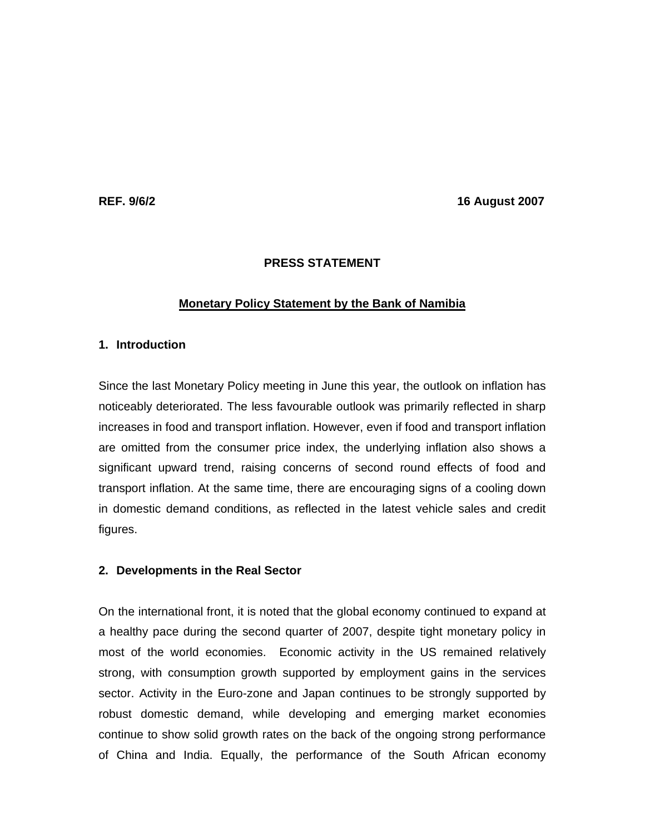**REF. 9/6/2 16 August 2007 16 August 2007** 

# **PRESS STATEMENT**

# **Monetary Policy Statement by the Bank of Namibia**

# **1. Introduction**

Since the last Monetary Policy meeting in June this year, the outlook on inflation has noticeably deteriorated. The less favourable outlook was primarily reflected in sharp increases in food and transport inflation. However, even if food and transport inflation are omitted from the consumer price index, the underlying inflation also shows a significant upward trend, raising concerns of second round effects of food and transport inflation. At the same time, there are encouraging signs of a cooling down in domestic demand conditions, as reflected in the latest vehicle sales and credit figures.

### **2. Developments in the Real Sector**

On the international front, it is noted that the global economy continued to expand at a healthy pace during the second quarter of 2007, despite tight monetary policy in most of the world economies. Economic activity in the US remained relatively strong, with consumption growth supported by employment gains in the services sector. Activity in the Euro-zone and Japan continues to be strongly supported by robust domestic demand, while developing and emerging market economies continue to show solid growth rates on the back of the ongoing strong performance of China and India. Equally, the performance of the South African economy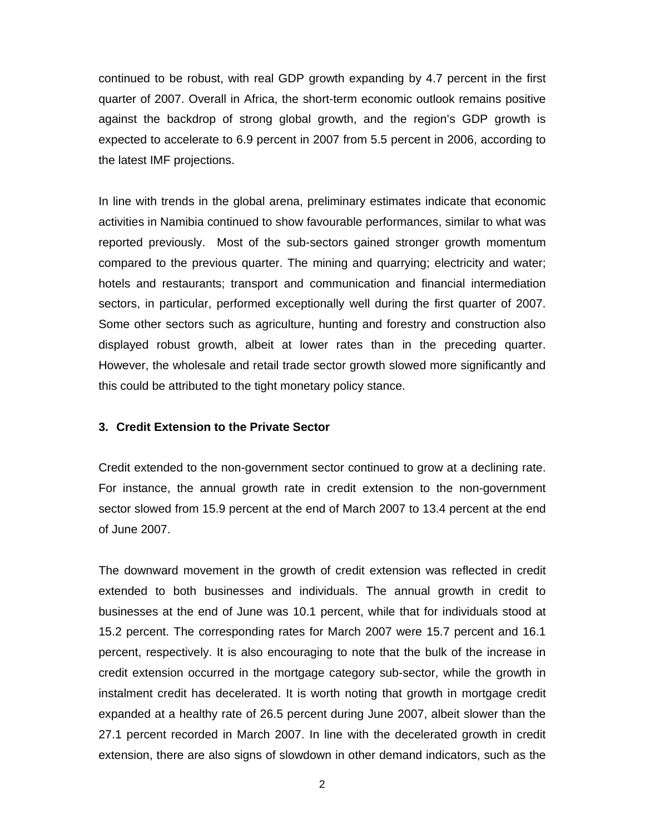continued to be robust, with real GDP growth expanding by 4.7 percent in the first quarter of 2007. Overall in Africa, the short-term economic outlook remains positive against the backdrop of strong global growth, and the region's GDP growth is expected to accelerate to 6.9 percent in 2007 from 5.5 percent in 2006, according to the latest IMF projections.

In line with trends in the global arena, preliminary estimates indicate that economic activities in Namibia continued to show favourable performances, similar to what was reported previously. Most of the sub-sectors gained stronger growth momentum compared to the previous quarter. The mining and quarrying; electricity and water; hotels and restaurants; transport and communication and financial intermediation sectors, in particular, performed exceptionally well during the first quarter of 2007. Some other sectors such as agriculture, hunting and forestry and construction also displayed robust growth, albeit at lower rates than in the preceding quarter. However, the wholesale and retail trade sector growth slowed more significantly and this could be attributed to the tight monetary policy stance.

## **3. Credit Extension to the Private Sector**

Credit extended to the non-government sector continued to grow at a declining rate. For instance, the annual growth rate in credit extension to the non-government sector slowed from 15.9 percent at the end of March 2007 to 13.4 percent at the end of June 2007.

The downward movement in the growth of credit extension was reflected in credit extended to both businesses and individuals. The annual growth in credit to businesses at the end of June was 10.1 percent, while that for individuals stood at 15.2 percent. The corresponding rates for March 2007 were 15.7 percent and 16.1 percent, respectively. It is also encouraging to note that the bulk of the increase in credit extension occurred in the mortgage category sub-sector, while the growth in instalment credit has decelerated. It is worth noting that growth in mortgage credit expanded at a healthy rate of 26.5 percent during June 2007, albeit slower than the 27.1 percent recorded in March 2007. In line with the decelerated growth in credit extension, there are also signs of slowdown in other demand indicators, such as the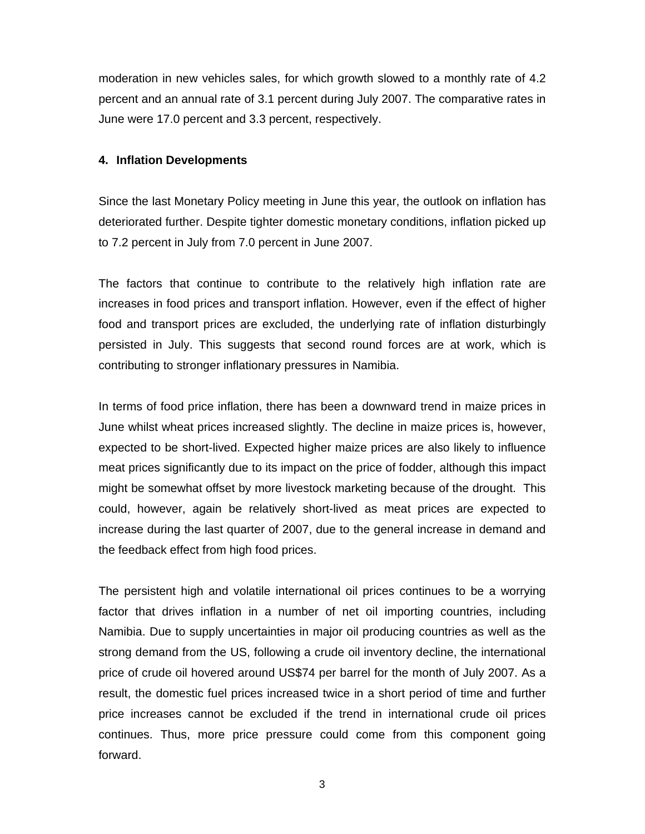moderation in new vehicles sales, for which growth slowed to a monthly rate of 4.2 percent and an annual rate of 3.1 percent during July 2007. The comparative rates in June were 17.0 percent and 3.3 percent, respectively.

# **4. Inflation Developments**

Since the last Monetary Policy meeting in June this year, the outlook on inflation has deteriorated further. Despite tighter domestic monetary conditions, inflation picked up to 7.2 percent in July from 7.0 percent in June 2007.

The factors that continue to contribute to the relatively high inflation rate are increases in food prices and transport inflation. However, even if the effect of higher food and transport prices are excluded, the underlying rate of inflation disturbingly persisted in July. This suggests that second round forces are at work, which is contributing to stronger inflationary pressures in Namibia.

In terms of food price inflation, there has been a downward trend in maize prices in June whilst wheat prices increased slightly. The decline in maize prices is, however, expected to be short-lived. Expected higher maize prices are also likely to influence meat prices significantly due to its impact on the price of fodder, although this impact might be somewhat offset by more livestock marketing because of the drought. This could, however, again be relatively short-lived as meat prices are expected to increase during the last quarter of 2007, due to the general increase in demand and the feedback effect from high food prices.

The persistent high and volatile international oil prices continues to be a worrying factor that drives inflation in a number of net oil importing countries, including Namibia. Due to supply uncertainties in major oil producing countries as well as the strong demand from the US, following a crude oil inventory decline, the international price of crude oil hovered around US\$74 per barrel for the month of July 2007. As a result, the domestic fuel prices increased twice in a short period of time and further price increases cannot be excluded if the trend in international crude oil prices continues. Thus, more price pressure could come from this component going forward.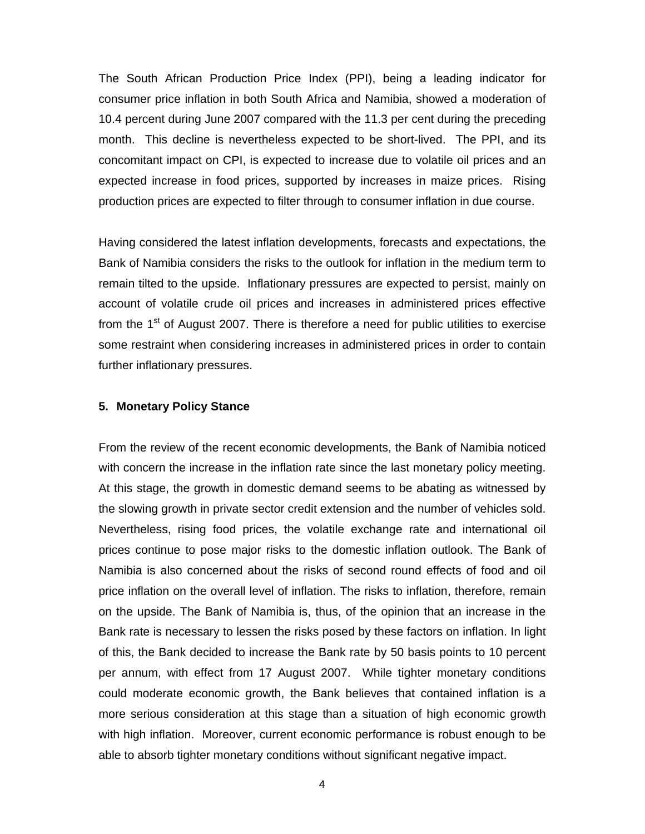The South African Production Price Index (PPI), being a leading indicator for consumer price inflation in both South Africa and Namibia, showed a moderation of 10.4 percent during June 2007 compared with the 11.3 per cent during the preceding month. This decline is nevertheless expected to be short-lived. The PPI, and its concomitant impact on CPI, is expected to increase due to volatile oil prices and an expected increase in food prices, supported by increases in maize prices. Rising production prices are expected to filter through to consumer inflation in due course.

Having considered the latest inflation developments, forecasts and expectations, the Bank of Namibia considers the risks to the outlook for inflation in the medium term to remain tilted to the upside. Inflationary pressures are expected to persist, mainly on account of volatile crude oil prices and increases in administered prices effective from the  $1<sup>st</sup>$  of August 2007. There is therefore a need for public utilities to exercise some restraint when considering increases in administered prices in order to contain further inflationary pressures.

# **5. Monetary Policy Stance**

From the review of the recent economic developments, the Bank of Namibia noticed with concern the increase in the inflation rate since the last monetary policy meeting. At this stage, the growth in domestic demand seems to be abating as witnessed by the slowing growth in private sector credit extension and the number of vehicles sold. Nevertheless, rising food prices, the volatile exchange rate and international oil prices continue to pose major risks to the domestic inflation outlook. The Bank of Namibia is also concerned about the risks of second round effects of food and oil price inflation on the overall level of inflation. The risks to inflation, therefore, remain on the upside. The Bank of Namibia is, thus, of the opinion that an increase in the Bank rate is necessary to lessen the risks posed by these factors on inflation. In light of this, the Bank decided to increase the Bank rate by 50 basis points to 10 percent per annum, with effect from 17 August 2007. While tighter monetary conditions could moderate economic growth, the Bank believes that contained inflation is a more serious consideration at this stage than a situation of high economic growth with high inflation. Moreover, current economic performance is robust enough to be able to absorb tighter monetary conditions without significant negative impact.